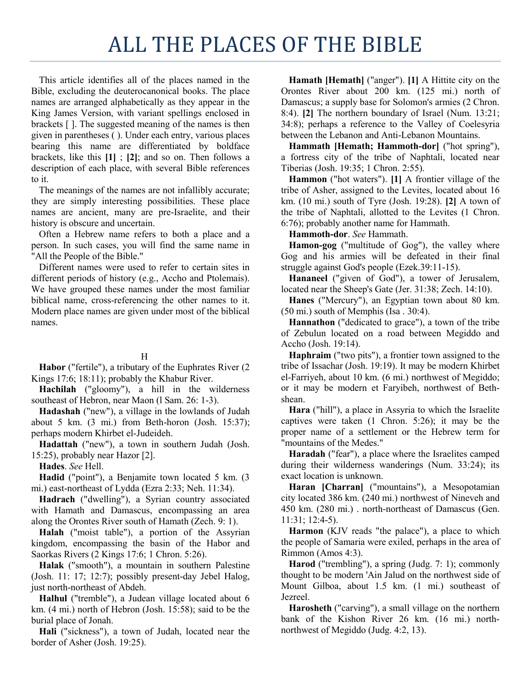## ALL THE PLACES OF THE BIBLE

This article identifies all of the places named in the Bible, excluding the deuterocanonical books. The place names are arranged alphabetically as they appear in the King James Version, with variant spellings enclosed in brackets [ ]. The suggested meaning of the names is then given in parentheses ( ). Under each entry, various places bearing this name are differentiated by boldface brackets, like this **[1]** ; **[2]**; and so on. Then follows a description of each place, with several Bible references to it.

The meanings of the names are not infallibly accurate; they are simply interesting possibilities. These place names are ancient, many are pre-Israelite, and their history is obscure and uncertain.

Often a Hebrew name refers to both a place and a person. In such cases, you will find the same name in "All the People of the Bible."

Different names were used to refer to certain sites in different periods of history (e.g., Accho and Ptolemais). We have grouped these names under the most familiar biblical name, cross-referencing the other names to it. Modern place names are given under most of the biblical names.

## H

**Habor** ("fertile"), a tributary of the Euphrates River (2 Kings 17:6; 18:11); probably the Khabur River.

**Hachilah** ("gloomy"), a hill in the wilderness southeast of Hebron, near Maon (l Sam. 26: 1-3).

**Hadashah** ("new"), a village in the lowlands of Judah about 5 km. (3 mi.) from Beth-horon (Josh. 15:37); perhaps modern Khirbet el-Judeideh.

**Hadattah** ("new"), a town in southern Judah (Josh. 15:25), probably near Hazor [2].

**Hades**. *See* Hell.

**Hadid** ("point"), a Benjamite town located 5 km. (3 mi.) east-northeast of Lydda (Ezra 2:33; Neh. 11:34).

**Hadrach** ("dwelling"), a Syrian country associated with Hamath and Damascus, encompassing an area along the Orontes River south of Hamath (Zech. 9: 1).

**Halah** ("moist table"), a portion of the Assyrian kingdom, encompassing the basin of the Habor and Saorkas Rivers (2 Kings 17:6; 1 Chron. 5:26).

**Halak** ("smooth"), a mountain in southern Palestine (Josh. 11: 17; 12:7); possibly present-day Jebel Halog, just north-northeast of Abdeh.

**Halhul** ("tremble"), a Judean village located about 6 km. (4 mi.) north of Hebron (Josh. 15:58); said to be the burial place of Jonah.

**Hali** ("sickness"), a town of Judah, located near the border of Asher (Josh. 19:25).

**Hamath [Hemath]** ("anger"). **[1]** A Hittite city on the Orontes River about 200 km. (125 mi.) north of Damascus; a supply base for Solomon's armies (2 Chron. 8:4). **[2]** The northern boundary of Israel (Num. 13:21; 34:8); perhaps a reference to the Valley of Coelesyria between the Lebanon and Anti-Lebanon Mountains.

**Hammath [Hemath; Hammoth-dor]** ("hot spring"), a fortress city of the tribe of Naphtali, located near Tiberias (Josh. 19:35; 1 Chron. 2:55).

**Hammon** ("hot waters"). **[1]** A frontier village of the tribe of Asher, assigned to the Levites, located about 16 km. (10 mi.) south of Tyre (Josh. 19:28). **[2]** A town of the tribe of Naphtali, allotted to the Levites (1 Chron. 6:76); probably another name for Hammath.

**Hammoth-dor**. *See* Hammath.

**Hamon-gog** ("multitude of Gog"), the valley where Gog and his armies will be defeated in their final struggle against God's people (Ezek.39:11-15).

**Hananeel** ("given of God"), a tower of Jerusalem, located near the Sheep's Gate (Jer. 31:38; Zech. 14:10).

**Hanes** ("Mercury"), an Egyptian town about 80 km. (50 mi.) south of Memphis (Isa . 30:4).

**Hannathon** ("dedicated to grace"), a town of the tribe of Zebulun located on a road between Megiddo and Accho (Josh. 19:14).

**Haphraim** ("two pits"), a frontier town assigned to the tribe of Issachar (Josh. 19:19). It may be modern Khirbet el-Farriyeh, about 10 km. (6 mi.) northwest of Megiddo; or it may be modern et Faryibeh, northwest of Bethshean.

**Hara** ("hill"), a place in Assyria to which the Israelite captives were taken (1 Chron. 5:26); it may be the proper name of a settlement or the Hebrew term for "mountains of the Medes."

**Haradah** ("fear"), a place where the Israelites camped during their wilderness wanderings (Num. 33:24); its exact location is unknown.

**Haran [Charran]** ("mountains"), a Mesopotamian city located 386 km. (240 mi.) northwest of Nineveh and 450 km. (280 mi.) . north-northeast of Damascus (Gen. 11:31; 12:4-5).

**Harmon** (KJV reads "the palace"), a place to which the people of Samaria were exiled, perhaps in the area of Rimmon (Amos 4:3).

**Harod** ("trembling"), a spring (Judg. 7: 1); commonly thought to be modern 'Ain Jalud on the northwest side of Mount Gilboa, about 1.5 km. (1 mi.) southeast of Jezreel.

**Harosheth** ("carving"), a small village on the northern bank of the Kishon River 26 km. (16 mi.) northnorthwest of Megiddo (Judg. 4:2, 13).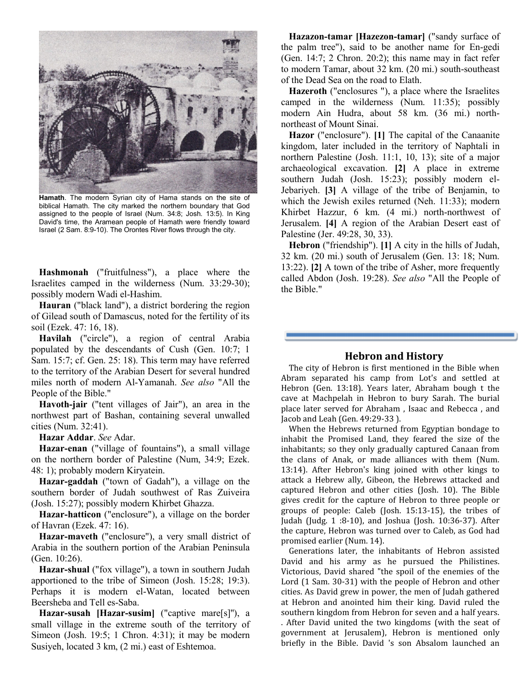

**Hamath**. The modern Syrian city of Hama stands on the site of biblical Hamath. The city marked the northern boundary that God assigned to the people of Israel (Num. 34:8; Josh. 13:5). In King David's time, the Aramean people of Hamath were friendly toward Israel (2 Sam. 8:9-10). The Orontes River flows through the city.

**Hashmonah** ("fruitfulness"), a place where the Israelites camped in the wilderness (Num. 33:29-30); possibly modern Wadi el-Hashim.

**Hauran** ("black land"), a district bordering the region of Gilead south of Damascus, noted for the fertility of its soil (Ezek. 47: 16, 18).

**Havilah** ("circle"), a region of central Arabia populated by the descendants of Cush (Gen. 10:7; 1 Sam. 15:7; cf. Gen. 25: 18). This term may have referred to the territory of the Arabian Desert for several hundred miles north of modern Al-Yamanah. *See also* "All the People of the Bible."

**Havoth-jair** ("tent villages of Jair"), an area in the northwest part of Bashan, containing several unwalled cities (Num. 32:41).

**Hazar Addar**. *See* Adar.

**Hazar-enan** ("village of fountains"), a small village on the northern border of Palestine (Num, 34:9; Ezek. 48: 1); probably modern Kiryatein.

**Hazar-gaddah** ("town of Gadah"), a village on the southern border of Judah southwest of Ras Zuiveira (Josh. 15:27); possibly modern Khirbet Ghazza.

**Hazar-hatticon** ("enclosure"), a village on the border of Havran (Ezek. 47: 16).

**Hazar-maveth** ("enclosure"), a very small district of Arabia in the southern portion of the Arabian Peninsula (Gen. 10:26).

**Hazar-shual** ("fox village"), a town in southern Judah apportioned to the tribe of Simeon (Josh. 15:28; 19:3). Perhaps it is modern el-Watan, located between Beersheba and Tell es-Saba.

**Hazar-susah [Hazar-susim]** ("captive mare[s]''), a small village in the extreme south of the territory of Simeon (Josh. 19:5; 1 Chron. 4:31); it may be modern Susiyeh, located 3 km, (2 mi.) east of Eshtemoa.

**Hazazon-tamar [Hazezon-tamar]** ("sandy surface of the palm tree"), said to be another name for En-gedi (Gen. 14:7; 2 Chron. 20:2); this name may in fact refer to modern Tamar, about 32 km. (20 mi.) south-southeast of the Dead Sea on the road to Elath.

**Hazeroth** ("enclosures "), a place where the Israelites camped in the wilderness (Num. 11:35); possibly modern Ain Hudra, about 58 km. (36 mi.) northnortheast of Mount Sinai.

**Hazor** ("enclosure"). **[1]** The capital of the Canaanite kingdom, later included in the territory of Naphtali in northern Palestine (Josh. 11:1, 10, 13); site of a major archaeological excavation. **[2]** A place in extreme southern Judah (Josh. 15:23); possibly modern el-Jebariyeh. **[3]** A village of the tribe of Benjamin, to which the Jewish exiles returned (Neh. 11:33); modern Khirbet Hazzur, 6 km. (4 mi.) north-northwest of Jerusalem. **[4]** A region of the Arabian Desert east of Palestine (Jer. 49:28, 30, 33).

**Hebron** ("friendship"). **[1]** A city in the hills of Judah, 32 km. (20 mi.) south of Jerusalem (Gen. 13: 18; Num. 13:22). **[2]** A town of the tribe of Asher, more frequently called Abdon (Josh. 19:28). *See also* "All the People of the Bible."

## **Hebron and History**

The city of Hebron is first mentioned in the Bible when Abram separated his camp from Lot's and settled at Hebron (Gen. 13:18). Years later, Abraham bough t the cave at Machpelah in Hebron to bury Sarah. The burial place later served for Abraham , Isaac and Rebecca , and Jacob and Leah (Gen. 49:29-33 ).

When the Hebrews returned from Egyptian bondage to inhabit the Promised Land, they feared the size of the inhabitants; so they only gradually captured Canaan from the clans of Anak, or made alliances with them (Num. 13:14). After Hebron's king joined with other kings to attack a Hebrew ally, Gibeon, the Hebrews attacked and captured Hebron and other cities (Josh. 10). The Bible gives credit for the capture of Hebron to three people or groups of people: Caleb (Josh. 15:13-15), the tribes of Judah (Judg. 1 :8-10), and Joshua (Josh. 10:36-37). After the capture, Hebron was turned over to Caleb, as God had promised earlier (Num. 14).

Generations later, the inhabitants of Hebron assisted David and his army as he pursued the Philistines. Victorious, David shared "the spoil of the enemies of the Lord (1 Sam. 30-31) with the people of Hebron and other cities. As David grew in power, the men of Judah gathered at Hebron and anointed him their king. David ruled the southern kingdom from Hebron for seven and a half years. . After David united the two kingdoms (with the seat of government at Jerusalem), Hebron is mentioned only briefly in the Bible. David 's son Absalom launched an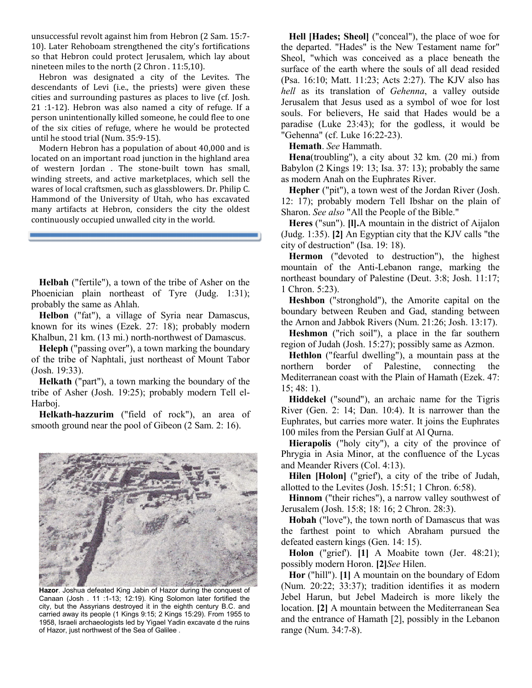unsuccessful revolt against him from Hebron (2 Sam. 15:7- 10). Later Rehoboam strengthened the city's fortifications so that Hebron could protect Jerusalem, which lay about nineteen miles to the north (2 Chron . 11:5,10).

Hebron was designated a city of the Levites. The descendants of Levi (i.e., the priests) were given these cities and surrounding pastures as places to live (cf. Josh. 21 :1-12). Hebron was also named a city of refuge. If a person unintentionally killed someone, he could flee to one of the six cities of refuge, where he would be protected until he stood trial (Num. 35:9-15).

Modern Hebron has a population of about 40,000 and is located on an important road junction in the highland area of western Jordan . The stone-built town has small, winding streets, and active marketplaces, which sell the wares of local craftsmen, such as glassblowers. Dr. Philip C. Hammond of the University of Utah, who has excavated many artifacts at Hebron, considers the city the oldest continuously occupied unwalled city in the world.

**Helbah** ("fertile"), a town of the tribe of Asher on the Phoenician plain northeast of Tyre (Judg. 1:31); probably the same as Ahlah.

**Helbon** ("fat"), a village of Syria near Damascus, known for its wines (Ezek. 27: 18); probably modern Khalbun, 21 km. (13 mi.) north-northwest of Damascus.

**Heleph** ("passing over"), a town marking the boundary of the tribe of Naphtali, just northeast of Mount Tabor (Josh. 19:33).

**Helkath** ("part"), a town marking the boundary of the tribe of Asher (Josh. 19:25); probably modern Tell el-Harboj.

**Helkath-hazzurim** ("field of rock"), an area of smooth ground near the pool of Gibeon (2 Sam. 2: 16).



**Hazor**. Joshua defeated King Jabin of Hazor during the conquest of Canaan (Josh . 11 :1-13; 12:19). King Solomon later fortified the city, but the Assyrians destroyed it in the eighth century B.C. and carried away its people (1 Kings 9:15; 2 Kings 15:29). From 1955 to 1958, Israeli archaeologists led by Yigael Yadin excavate d the ruins of Hazor, just northwest of the Sea of Galilee .

**Hell [Hades; Sheol]** ("conceal"), the place of woe for the departed. "Hades" is the New Testament name for" Sheol, "which was conceived as a place beneath the surface of the earth where the souls of all dead resided (Psa. 16:10; Matt. 11:23; Acts 2:27). The KJV also has *hell* as its translation of *Gehenna*, a valley outside Jerusalem that Jesus used as a symbol of woe for lost souls. For believers, He said that Hades would be a paradise (Luke 23:43); for the godless, it would be "Gehenna" (cf. Luke 16:22-23).

**Hemath**. *See* Hammath.

**Hena**(troubling"), a city about 32 km. (20 mi.) from Babylon (2 Kings 19: 13; Isa. 37: 13); probably the same as modern Anah on the Euphrates River.

**Hepher** ("pit"), a town west of the Jordan River (Josh. 12: 17); probably modern Tell Ibshar on the plain of Sharon. *See also* "All the People of the Bible."

**Heres** ("sun"). **[l].**A mountain in the district of Aijalon (Judg. 1:35). **[2]** An Egyptian city that the KJV calls "the city of destruction" (Isa. 19: 18).

**Hermon** ("devoted to destruction"), the highest mountain of the Anti-Lebanon range, marking the northeast boundary of Palestine (Deut. 3:8; Josh. 11:17; 1 Chron. 5:23).

**Heshbon** ("stronghold"), the Amorite capital on the boundary between Reuben and Gad, standing between the Arnon and Jabbok Rivers (Num. 21:26; Josh. 13:17).

**Heshmon** ("rich soil"), a place in the far southern region of Judah (Josh. 15:27); possibly same as Azmon.

**Hethlon** ("fearful dwelling"), a mountain pass at the northern border of Palestine, connecting the Mediterranean coast with the Plain of Hamath (Ezek. 47: 15; 48: 1).

**Hiddekel** ("sound"), an archaic name for the Tigris River (Gen. 2: 14; Dan. 10:4). It is narrower than the Euphrates, but carries more water. It joins the Euphrates 100 miles from the Persian Gulf at Al Qurna.

**Hierapolis** ("holy city"), a city of the province of Phrygia in Asia Minor, at the confluence of the Lycas and Meander Rivers (Col. 4:13).

**Hilen [Holon]** ("grief'), a city of the tribe of Judah, allotted to the Levites (Josh. 15:51; 1 Chron. 6:58).

**Hinnom** ("their riches"), a narrow valley southwest of Jerusalem (Josh. 15:8; 18: 16; 2 Chron. 28:3).

**Hobah** ("love"), the town north of Damascus that was the farthest point to which Abraham pursued the defeated eastern kings (Gen. 14: 15).

**Holon** ("grief'). **[1]** A Moabite town (Jer. 48:21); possibly modern Horon. **[2]***See* Hilen.

**Hor** ("hill"). **[1]** A mountain on the boundary of Edom (Num. 20:22; 33:37); tradition identifies it as modern Jebel Harun, but Jebel Madeirch is more likely the location. **[2]** A mountain between the Mediterranean Sea and the entrance of Hamath [2], possibly in the Lebanon range (Num. 34:7-8).